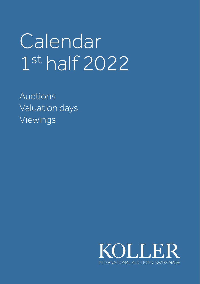# Calendar 1st half 2022

Auctions Valuation days Viewings

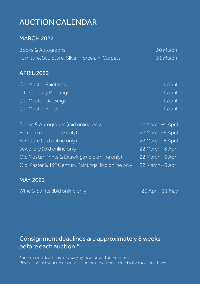# AUCTION CALENDAR

## MARCH 2022

| Books & Autographs                                                 | 30 March         |
|--------------------------------------------------------------------|------------------|
| Furniture, Sculpture, Silver, Porcelain, Carpets                   | 31 March         |
| <b>APRIL 2022</b>                                                  |                  |
| Old Master Paintings                                               | 1 April          |
| 19th Century Paintings                                             | 1 April          |
| Old Master Drawings                                                | 1 April          |
| Old Master Prints                                                  | 1 April          |
| Books & Autographs (ibid online only)                              | 22 March-5 April |
| Porcelain (ibid online only)                                       | 22 March-5 April |
| Furniture (ibid online only)                                       | 22 March-5 April |
| Jewellery (ibid online only)                                       | 22 March-6 April |
| Old Master Prints & Drawings (ibid online only)                    | 22 March-6 April |
| Old Master & 19 <sup>th</sup> Century Paintings (ibid online only) | 22 March-6 April |

## MAY 2022

Wine & Spirits (ibid online only) 20 April – 11 May

# Consignment deadlines are approximately 8 weeks before each auction.\*

\*Submission deadlines may vary by location and department. Please contact your representative or the department directly for exact deadlines.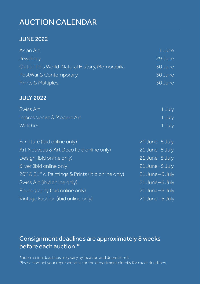# AUCTION CALENDAR

## JUNE 2022

| Asian Art                                                                    | 1 June         |
|------------------------------------------------------------------------------|----------------|
| Jewellery                                                                    | 29 June        |
| Out of This World: Natural History, Memorabilia                              | 30 June        |
| PostWar & Contemporary                                                       | 30 June        |
| Prints & Multiples                                                           | 30 June        |
| <b>JULY 2022</b>                                                             |                |
| Swiss Art                                                                    | 1 July         |
| Impressionist & Modern Art                                                   | 1 July         |
| Watches                                                                      | 1 July         |
| Furniture (ibid online only)                                                 | 21 June-5 July |
| Art Nouveau & Art Deco (ibid online only)                                    | 21 June-5 July |
| Design (ibid online only)                                                    | 21 June-5 July |
| Silver (ibid online only)                                                    | 21 June-5 July |
| 20 <sup>th</sup> & 21 <sup>st</sup> c. Paintings & Prints (ibid online only) | 21 June-6 July |
| Swiss Art (ibid online only)                                                 | 21 June-6 July |
| Photography (ibid online only)                                               | 21 June-6 July |
| Vintage Fashion (ibid online only)                                           | 21 June-6 July |
|                                                                              |                |

# Consignment deadlines are approximately 8 weeks before each auction.\*

\*Submission deadlines may vary by location and department. Please contact your representative or the department directly for exact deadlines.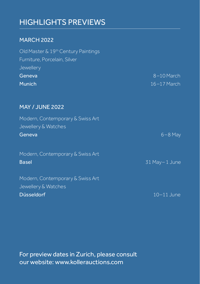# HIGHLIGHTS PREVIEWS

## MARCH 2022

| Old Master & 19 <sup>th</sup> Century Paintings |                 |
|-------------------------------------------------|-----------------|
| Furniture, Porcelain, Silver                    |                 |
| Jewellery                                       |                 |
| Geneva,                                         | 8-10 March      |
| <b>Munich</b>                                   | $16 - 17$ March |
|                                                 |                 |
|                                                 |                 |

## MAY / JUNE 2022

| Modern, Contemporary & Swiss Art |                 |
|----------------------------------|-----------------|
| Jewellery & Watches              |                 |
| Geneva                           | $6 - 8$ May     |
| Modern, Contemporary & Swiss Art |                 |
| <b>Basel</b>                     | 31 May - 1 June |
| Modern, Contemporary & Swiss Art |                 |
| Jewellery & Watches              |                 |
| Düsseldorf                       | $10-11$ June    |

For preview dates in Zurich, please consult our website: www.kollerauctions.com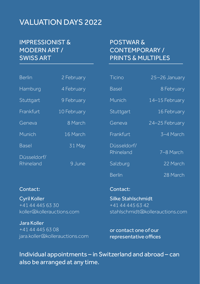# VALUATION DAYS 2022

# IMPRESSIONIST & MODERN ART / SWISS ART

# POSTWAR & CONTEMPORARY / PRINTS & MULTIPLES

| <b>Berlin</b>        | 2 February  | Ticino                   | 25-26 January  |
|----------------------|-------------|--------------------------|----------------|
| Hamburg              | 4 February  | <b>Basel</b>             | 8 February     |
| Stuttgart            | 9 February  | Munich                   | 14-15 February |
| Frankfurt.           | 10 February | Stuttgart                | 16 February    |
| Geneva               | 8 March     | Geneva                   | 24-25 February |
| Munich               | 16 March    | Frankfurt                | 3-4 March      |
| Basel<br>Düsseldorf/ | 31 May      | Düsseldorf/<br>Rhineland | 7-8 March      |
| Rhineland            | 9 June      | Salzburg                 | 22 March       |
|                      |             | <b>Berlin</b>            | 28 March       |
| Contact:             |             | Contact:                 |                |

Cyril Koller +41 44 445 63 30 koller@kollerauctions.com

Jara Koller +41 44 445 63 08 jara.koller@kollerauctions.com

#### Contact:

Silke Stahlschmidt +41 44 445 63 42 stahlschmidt@kollerauctions.com

or contact one of our representative offices

Individual appointments – in Switzerland and abroad – can also be arranged at any time.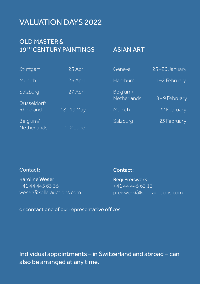# VALUATION DAYS 2022

## OLD MASTER & 19<sup>TH</sup> CENTURY PAINTINGS

## ASIAN ART

| Stuttgart                | 25 April   | Geneva                  | 25-26 January |
|--------------------------|------------|-------------------------|---------------|
| <b>Munich</b>            | 26 April   | Hamburg                 | 1-2 February  |
| Salzburg                 | 27 April   | Belgium/<br>Netherlands | 8-9 February  |
| Düsseldorf/<br>Rhineland | 18-19 May  | Munich                  | 22 February   |
| Belgium/<br>Netherlands  | $1-2$ June | Salzburg                | 23 February   |

#### Contact:

#### Contact:

Karoline Weser +41 44 445 63 35 weser@kollerauctions.com Regi Preiswerk  $+41\overline{44\overline{4563\overline{13}}}$ preiswerk@kollerauctions.com

#### or contact one of our representative offices

Individual appointments – in Switzerland and abroad – can also be arranged at any time.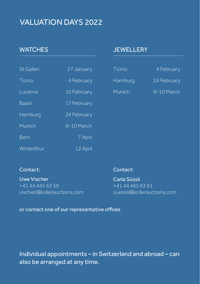# VALUATION DAYS 2022

# **WATCHES**

| <b>St Gallen</b> | 27 January  |
|------------------|-------------|
| Ticino           | 4 February  |
| Lucerne          | 10 February |
| <b>Basel</b>     | 17 February |
| Hamburg          | 24 February |
| Munich           | 9-10 March  |
| Bern             | 7 April     |
| Winterthur       | 12 April    |

## **JEWELLERY**

| Ticino  | 4 February  |
|---------|-------------|
| Hamburg | 24 February |
| Munich  | 9-10 March  |

### Contact:

Uwe Vischer +41 44 445 63 59 vischer@kollerauctions.com

### Contact:

Carla Süssli +41 44 445 63 61 suessli@kollerauctions.com

#### or contact one of our representative offices

Individual appointments – in Switzerland and abroad – can also be arranged at any time.